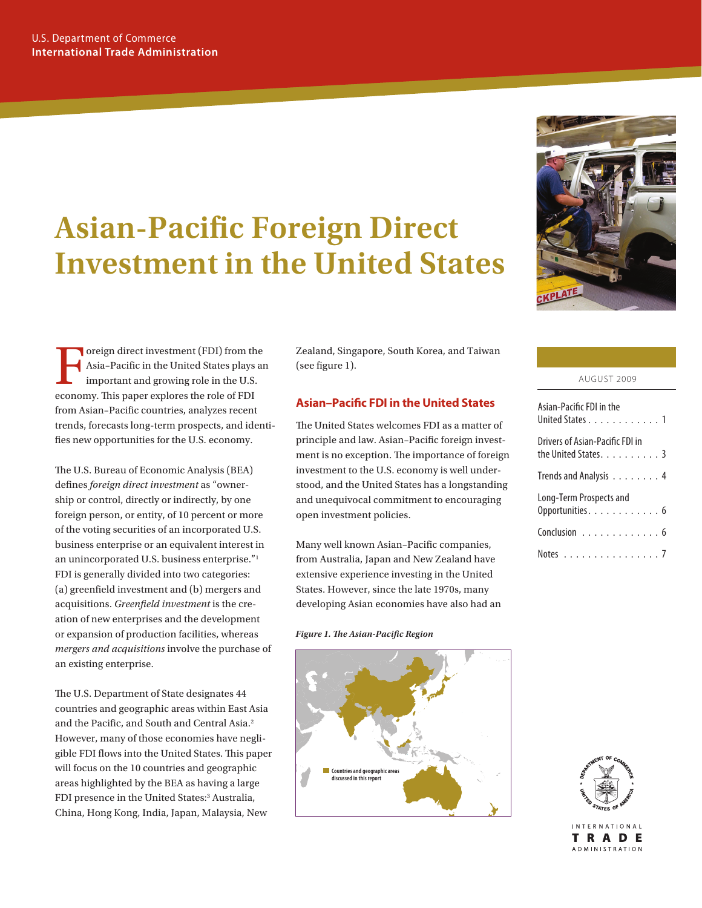# **Asian-Pacific Foreign Direct Investment in the United States**



Foreign direct investment (FDI) from the<br>Asia-Pacific in the United States plays at<br>important and growing role in the U.S.<br>economy. This paper explores the role of EDI Asia–Pacific in the United States plays an important and growing role in the U.S. economy. This paper explores the role of FDI from Asian–Pacific countries, analyzes recent trends, forecasts long-term prospects, and identifies new opportunities for the U.S. economy.

The U.S. Bureau of Economic Analysis (BEA) defines *foreign direct investment* as "ownership or control, directly or indirectly, by one foreign person, or entity, of 10 percent or more of the voting securities of an incorporated U.S. business enterprise or an equivalent interest in an unincorporated U.S. business enterprise."1 FDI is generally divided into two categories: (a) greenfield investment and (b) mergers and acquisitions. *Greenfield investment* is the creation of new enterprises and the development or expansion of production facilities, whereas *mergers and acquisitions* involve the purchase of an existing enterprise.

The U.S. Department of State designates 44 countries and geographic areas within East Asia and the Pacific, and South and Central Asia.<sup>2</sup> However, many of those economies have negligible FDI flows into the United States. This paper will focus on the 10 countries and geographic areas highlighted by the BEA as having a large FDI presence in the United States:<sup>3</sup> Australia, China, Hong Kong, India, Japan, Malaysia, New

Zealand, Singapore, South Korea, and Taiwan (see figure 1).

# **Asian–Pacific FDI in the United States**

The United States welcomes FDI as a matter of principle and law. Asian–Pacific foreign investment is no exception. The importance of foreign investment to the U.S. economy is well understood, and the United States has a longstanding and unequivocal commitment to encouraging open investment policies.

Many well known Asian–Pacific companies, from Australia, Japan and New Zealand have extensive experience investing in the United States. However, since the late 1970s, many developing Asian economies have also had an

*Figure 1. The Asian-Pacific Region*



| Asian-Pacific FDI in the<br>United States 1             |  |
|---------------------------------------------------------|--|
| Drivers of Asian-Pacific FDI in<br>the United States. 3 |  |
| Trends and Analysis 4                                   |  |
| Long-Term Prospects and<br>Opportunities. 6             |  |
| Conclusion 6                                            |  |
| Notes 7                                                 |  |



**INTERNATIONAL** TRADE **ADMINISTRATION**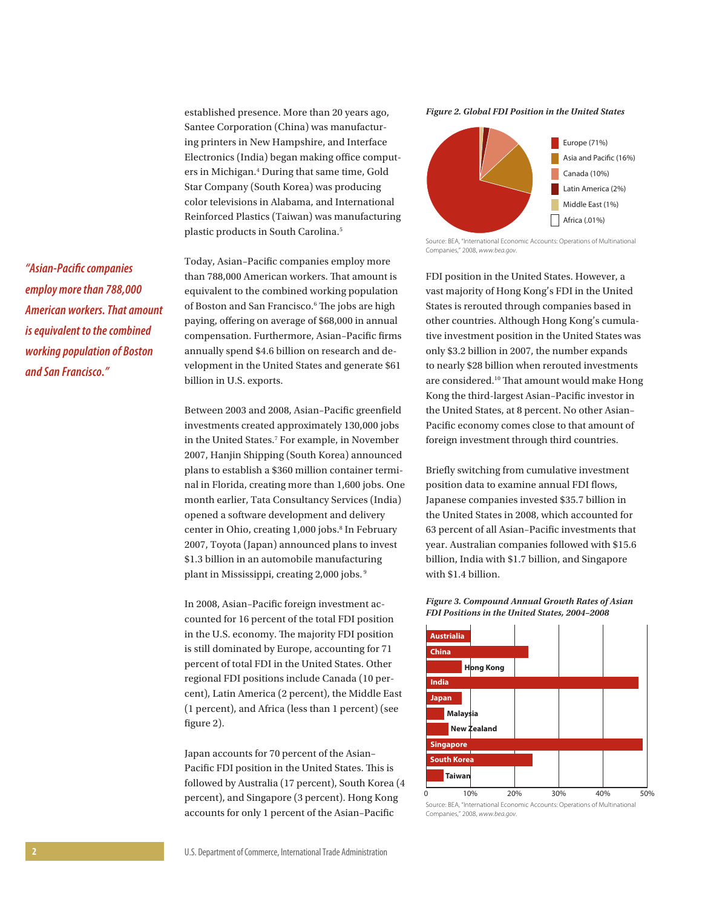established presence. More than 20 years ago, Santee Corporation (China) was manufacturing printers in New Hampshire, and Interface Electronics (India) began making office computers in Michigan.<sup>4</sup> During that same time, Gold Star Company (South Korea) was producing color televisions in Alabama, and International Reinforced Plastics (Taiwan) was manufacturing plastic products in South Carolina.<sup>5</sup>

Today, Asian–Pacific companies employ more than 788,000 American workers. That amount is equivalent to the combined working population of Boston and San Francisco.<sup>6</sup> The jobs are high paying, offering on average of \$68,000 in annual compensation. Furthermore, Asian–Pacific firms annually spend \$4.6 billion on research and development in the United States and generate \$61 billion in U.S. exports.

Between 2003 and 2008, Asian–Pacific greenfield investments created approximately 130,000 jobs in the United States.7 For example, in November 2007, Hanjin Shipping (South Korea) announced plans to establish a \$360 million container terminal in Florida, creating more than 1,600 jobs. One month earlier, Tata Consultancy Services (India) opened a software development and delivery center in Ohio, creating 1,000 jobs.<sup>8</sup> In February 2007, Toyota (Japan) announced plans to invest \$1.3 billion in an automobile manufacturing plant in Mississippi, creating 2,000 jobs. 9

In 2008, Asian–Pacific foreign investment accounted for 16 percent of the total FDI position in the U.S. economy. The majority FDI position is still dominated by Europe, accounting for 71 percent of total FDI in the United States. Other regional FDI positions include Canada (10 percent), Latin America (2 percent), the Middle East (1 percent), and Africa (less than 1 percent) (see figure 2).

Japan accounts for 70 percent of the Asian– Pacific FDI position in the United States. This is followed by Australia (17 percent), South Korea (4 percent), and Singapore (3 percent). Hong Kong accounts for only 1 percent of the Asian–Pacific

*Figure 2. Global FDI Position in the United States*



Source: BEA, "International Economic Accounts: Operations of Multinational Companies," 2008, *www.bea.gov*.

FDI position in the United States. However, a vast majority of Hong Kong's FDI in the United States is rerouted through companies based in other countries. Although Hong Kong's cumulative investment position in the United States was only \$3.2 billion in 2007, the number expands to nearly \$28 billion when rerouted investments are considered.10 That amount would make Hong Kong the third-largest Asian–Pacific investor in the United States, at 8 percent. No other Asian– Pacific economy comes close to that amount of foreign investment through third countries.

Briefly switching from cumulative investment position data to examine annual FDI flows, Japanese companies invested \$35.7 billion in the United States in 2008, which accounted for 63 percent of all Asian–Pacific investments that year. Australian companies followed with \$15.6 billion, India with \$1.7 billion, and Singapore with \$1.4 billion.





Companies," 2008, *www.bea.gov*.

*"Asian-Pacific companies employ more than 788,000 American workers. That amount is equivalent to the combined working population of Boston and San Francisco."*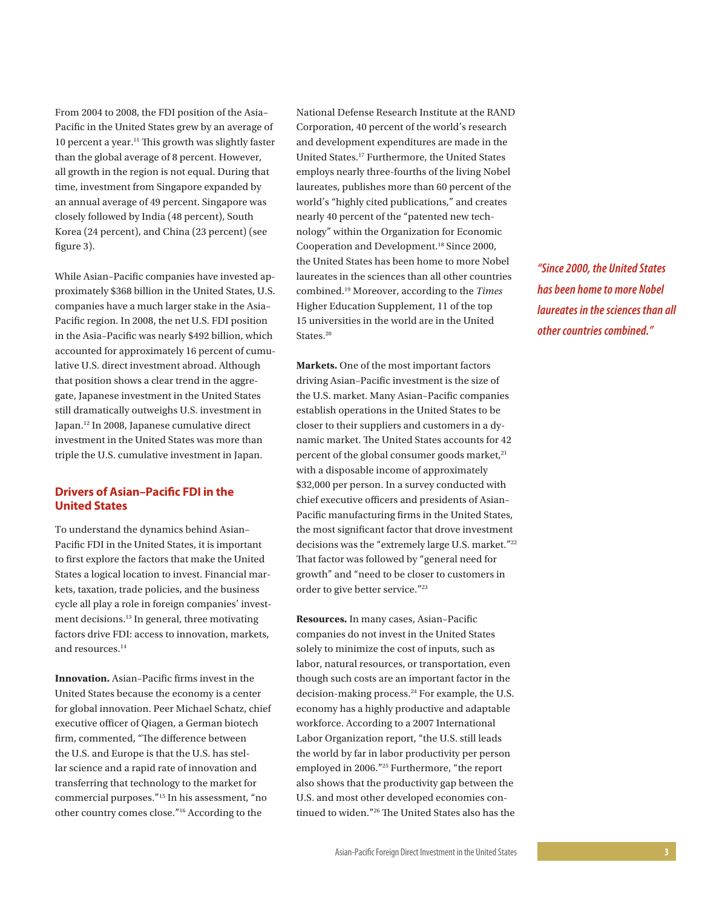From 2004 to 2008, the FDI position of the Asia– Pacific in the United States grew by an average of 10 percent a year.<sup>11</sup> This growth was slightly faster than the global average of 8 percent. However, all growth in the region is not equal. During that time, investment from Singapore expanded by an annual average of 49 percent. Singapore was closely followed by India (48 percent), South Korea (24 percent), and China (23 percent) (see figure 3).

While Asian–Pacific companies have invested approximately \$368 billion in the United States, U.S. companies have a much larger stake in the Asia– Pacific region. In 2008, the net U.S. FDI position in the Asia–Pacific was nearly \$492 billion, which accounted for approximately 16 percent of cumulative U.S. direct investment abroad. Although that position shows a clear trend in the aggregate, Japanese investment in the United States still dramatically outweighs U.S. investment in Japan.12 In 2008, Japanese cumulative direct investment in the United States was more than triple the U.S. cumulative investment in Japan.

## **Drivers of Asian–Pacific FDI in the United States**

To understand the dynamics behind Asian– Pacific FDI in the United States, it is important to first explore the factors that make the United States a logical location to invest. Financial markets, taxation, trade policies, and the business cycle all play a role in foreign companies' investment decisions.<sup>13</sup> In general, three motivating factors drive FDI: access to innovation, markets, and resources.<sup>14</sup>

**Innovation.** Asian–Pacific firms invest in the United States because the economy is a center for global innovation. Peer Michael Schatz, chief executive officer of Qiagen, a German biotech firm, commented, "The difference between the U.S. and Europe is that the U.S. has stellar science and a rapid rate of innovation and transferring that technology to the market for commercial purposes."15 In his assessment, "no other country comes close."16 According to the

National Defense Research Institute at the RAND Corporation, 40 percent of the world's research and development expenditures are made in the United States.17 Furthermore, the United States employs nearly three-fourths of the living Nobel laureates, publishes more than 60 percent of the world's "highly cited publications," and creates nearly 40 percent of the "patented new technology" within the Organization for Economic Cooperation and Development.18 Since 2000, the United States has been home to more Nobel laureates in the sciences than all other countries combined.19 Moreover, according to the *Times* Higher Education Supplement, 11 of the top 15 universities in the world are in the United States.<sup>20</sup>

**Markets.** One of the most important factors driving Asian–Pacific investment is the size of the U.S. market. Many Asian–Pacific companies establish operations in the United States to be closer to their suppliers and customers in a dynamic market. The United States accounts for 42 percent of the global consumer goods market,<sup>21</sup> with a disposable income of approximately \$32,000 per person. In a survey conducted with chief executive officers and presidents of Asian– Pacific manufacturing firms in the United States, the most significant factor that drove investment decisions was the "extremely large U.S. market."<sup>22</sup> That factor was followed by "general need for growth" and "need to be closer to customers in order to give better service."23

**Resources.** In many cases, Asian–Pacific companies do not invest in the United States solely to minimize the cost of inputs, such as labor, natural resources, or transportation, even though such costs are an important factor in the decision-making process.<sup>24</sup> For example, the U.S. economy has a highly productive and adaptable workforce. According to a 2007 International Labor Organization report, "the U.S. still leads the world by far in labor productivity per person employed in 2006."25 Furthermore, "the report also shows that the productivity gap between the U.S. and most other developed economies continued to widen."26 The United States also has the

*"Since 2000, the United States has been home to more Nobel laureates in the sciences than all other countries combined."*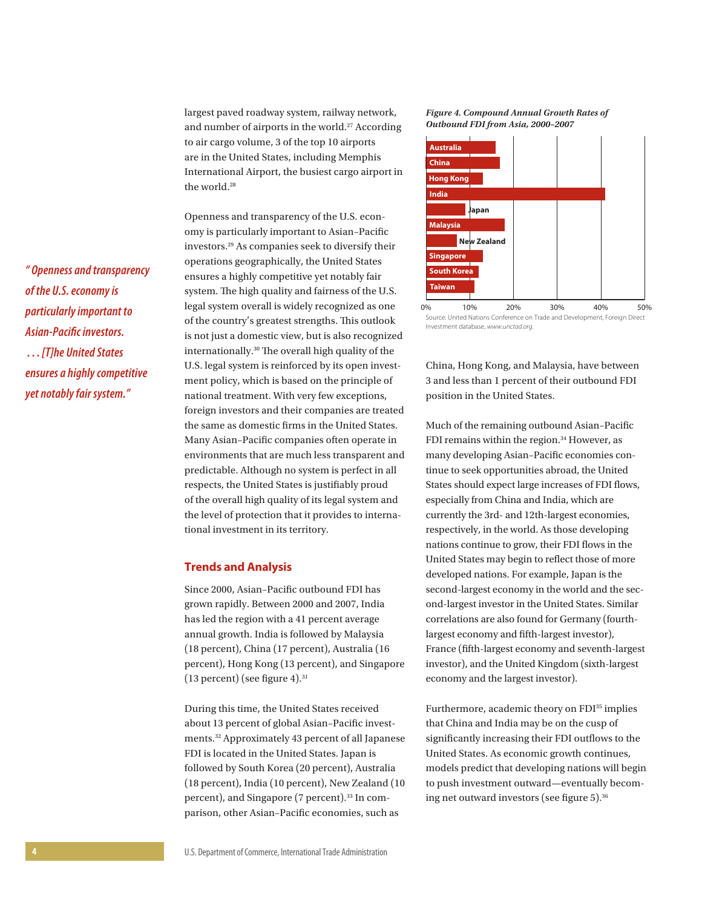largest paved roadway system, railway network, and number of airports in the world.<sup>27</sup> According to air cargo volume, 3 of the top 10 airports are in the United States, including Memphis International Airport, the busiest cargo airport in the world.<sup>28</sup>

Openness and transparency of the U.S. economy is particularly important to Asian–Pacific investors.29 As companies seek to diversify their operations geographically, the United States ensures a highly competitive yet notably fair system. The high quality and fairness of the U.S. legal system overall is widely recognized as one of the country's greatest strengths. This outlook is not just a domestic view, but is also recognized internationally.30 The overall high quality of the U.S. legal system is reinforced by its open investment policy, which is based on the principle of national treatment. With very few exceptions, foreign investors and their companies are treated the same as domestic firms in the United States. Many Asian–Pacific companies often operate in environments that are much less transparent and predictable. Although no system is perfect in all respects, the United States is justifiably proud of the overall high quality of its legal system and the level of protection that it provides to international investment in its territory.

## **Trends and Analysis**

Since 2000, Asian–Pacific outbound FDI has grown rapidly. Between 2000 and 2007, India has led the region with a 41 percent average annual growth. India is followed by Malaysia (18 percent), China (17 percent), Australia (16 percent), Hong Kong (13 percent), and Singapore  $(13$  percent) (see figure 4).<sup>31</sup>

During this time, the United States received about 13 percent of global Asian–Pacific investments.32 Approximately 43 percent of all Japanese FDI is located in the United States. Japan is followed by South Korea (20 percent), Australia (18 percent), India (10 percent), New Zealand (10 percent), and Singapore (7 percent).33 In comparison, other Asian–Pacific economies, such as

#### *Figure 4. Compound Annual Growth Rates of Outbound FDI from Asia, 2000–2007*



Source: United Nations Conference on Trade and Development, Foreign Direct Investment database, *www.unctad.org*.

China, Hong Kong, and Malaysia, have between 3 and less than 1 percent of their outbound FDI position in the United States.

Much of the remaining outbound Asian–Pacific FDI remains within the region.<sup>34</sup> However, as many developing Asian–Pacific economies continue to seek opportunities abroad, the United States should expect large increases of FDI flows, especially from China and India, which are currently the 3rd- and 12th-largest economies, respectively, in the world. As those developing nations continue to grow, their FDI flows in the United States may begin to reflect those of more developed nations. For example, Japan is the second-largest economy in the world and the second-largest investor in the United States. Similar correlations are also found for Germany (fourthlargest economy and fifth-largest investor), France (fifth-largest economy and seventh-largest investor), and the United Kingdom (sixth-largest economy and the largest investor).

Furthermore, academic theory on FDI<sup>35</sup> implies that China and India may be on the cusp of significantly increasing their FDI outflows to the United States. As economic growth continues, models predict that developing nations will begin to push investment outward—eventually becoming net outward investors (see figure 5).36

*" Openness and transparency of the U.S. economy is particularly important to Asian-Pacific investors. . . . [T]he United States ensures a highly competitive yet notably fair system."*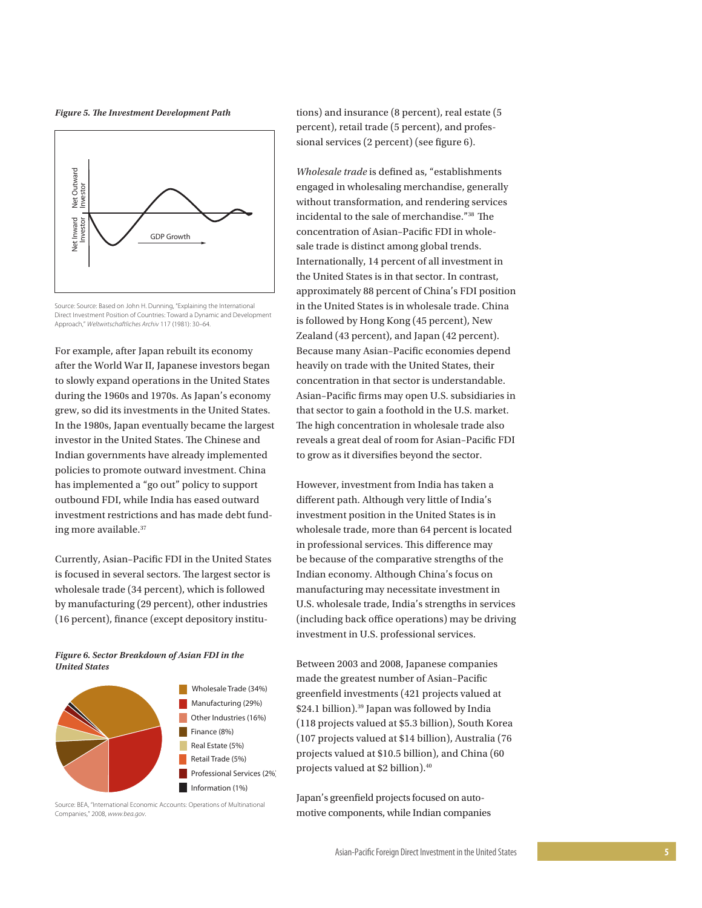*Figure 5. The Investment Development Path*



Source: Source: Based on John H. Dunning, "Explaining the International Direct Investment Position of Countries: Toward a Dynamic and Development Approach," *Weltwirtschaftliches Archiv* 117 (1981): 30–64.

For example, after Japan rebuilt its economy after the World War II, Japanese investors began to slowly expand operations in the United States during the 1960s and 1970s. As Japan's economy grew, so did its investments in the United States. In the 1980s, Japan eventually became the largest investor in the United States. The Chinese and Indian governments have already implemented policies to promote outward investment. China has implemented a "go out" policy to support outbound FDI, while India has eased outward investment restrictions and has made debt funding more available.37

Currently, Asian–Pacific FDI in the United States is focused in several sectors. The largest sector is wholesale trade (34 percent), which is followed by manufacturing (29 percent), other industries (16 percent), finance (except depository institu-

#### *Figure 6. Sector Breakdown of Asian FDI in the United States*



Source: BEA, "International Economic Accounts: Operations of Multinational Companies," 2008, *www.bea.gov*.

tions) and insurance (8 percent), real estate (5 percent), retail trade (5 percent), and professional services (2 percent) (see figure 6).

*Wholesale trade* is defined as, "establishments engaged in wholesaling merchandise, generally without transformation, and rendering services incidental to the sale of merchandise."38 The concentration of Asian–Pacific FDI in wholesale trade is distinct among global trends. Internationally, 14 percent of all investment in the United States is in that sector. In contrast, approximately 88 percent of China's FDI position in the United States is in wholesale trade. China is followed by Hong Kong (45 percent), New Zealand (43 percent), and Japan (42 percent). Because many Asian–Pacific economies depend heavily on trade with the United States, their concentration in that sector is understandable. Asian–Pacific firms may open U.S. subsidiaries in that sector to gain a foothold in the U.S. market. The high concentration in wholesale trade also reveals a great deal of room for Asian–Pacific FDI to grow as it diversifies beyond the sector.

However, investment from India has taken a different path. Although very little of India's investment position in the United States is in wholesale trade, more than 64 percent is located in professional services. This difference may be because of the comparative strengths of the Indian economy. Although China's focus on manufacturing may necessitate investment in U.S. wholesale trade, India's strengths in services (including back office operations) may be driving investment in U.S. professional services.

Between 2003 and 2008, Japanese companies made the greatest number of Asian–Pacific greenfield investments (421 projects valued at \$24.1 billion).<sup>39</sup> Japan was followed by India (118 projects valued at \$5.3 billion), South Korea (107 projects valued at \$14 billion), Australia (76 projects valued at \$10.5 billion), and China (60 projects valued at \$2 billion).40

Japan's greenfield projects focused on automotive components, while Indian companies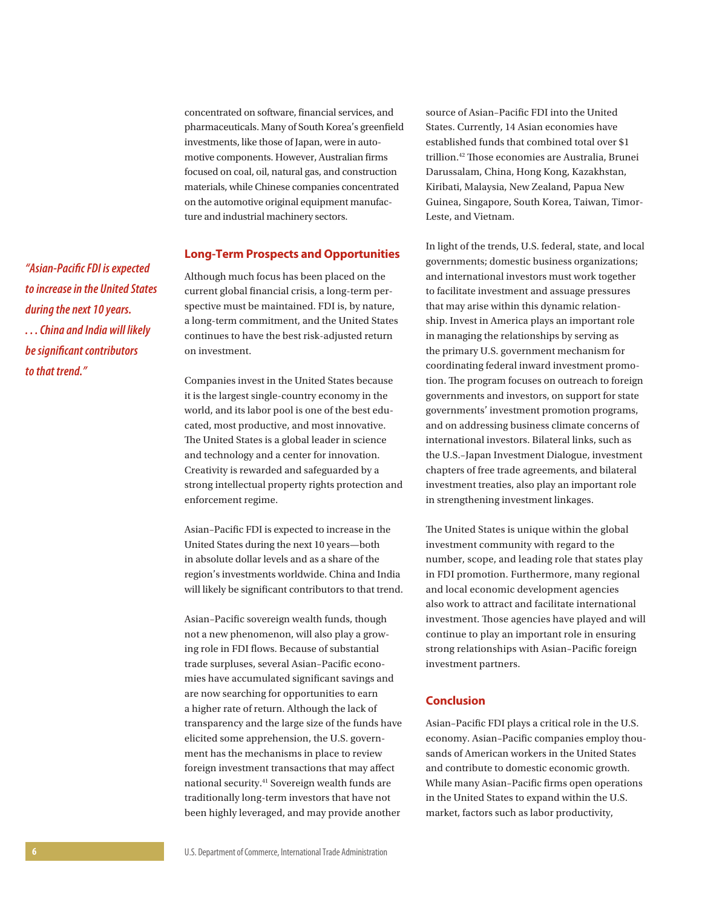concentrated on software, financial services, and pharmaceuticals. Many of South Korea's greenfield investments, like those of Japan, were in automotive components. However, Australian firms focused on coal, oil, natural gas, and construction materials, while Chinese companies concentrated on the automotive original equipment manufacture and industrial machinery sectors.

## **Long-Term Prospects and Opportunities**

Although much focus has been placed on the current global financial crisis, a long-term perspective must be maintained. FDI is, by nature, a long-term commitment, and the United States continues to have the best risk-adjusted return on investment.

Companies invest in the United States because it is the largest single-country economy in the world, and its labor pool is one of the best educated, most productive, and most innovative. The United States is a global leader in science and technology and a center for innovation. Creativity is rewarded and safeguarded by a strong intellectual property rights protection and enforcement regime.

Asian–Pacific FDI is expected to increase in the United States during the next 10 years—both in absolute dollar levels and as a share of the region's investments worldwide. China and India will likely be significant contributors to that trend.

Asian–Pacific sovereign wealth funds, though not a new phenomenon, will also play a growing role in FDI flows. Because of substantial trade surpluses, several Asian–Pacific economies have accumulated significant savings and are now searching for opportunities to earn a higher rate of return. Although the lack of transparency and the large size of the funds have elicited some apprehension, the U.S. government has the mechanisms in place to review foreign investment transactions that may affect national security.<sup>41</sup> Sovereign wealth funds are traditionally long-term investors that have not been highly leveraged, and may provide another

source of Asian–Pacific FDI into the United States. Currently, 14 Asian economies have established funds that combined total over \$1 trillion.42 Those economies are Australia, Brunei Darussalam, China, Hong Kong, Kazakhstan, Kiribati, Malaysia, New Zealand, Papua New Guinea, Singapore, South Korea, Taiwan, Timor-Leste, and Vietnam.

In light of the trends, U.S. federal, state, and local governments; domestic business organizations; and international investors must work together to facilitate investment and assuage pressures that may arise within this dynamic relationship. Invest in America plays an important role in managing the relationships by serving as the primary U.S. government mechanism for coordinating federal inward investment promotion. The program focuses on outreach to foreign governments and investors, on support for state governments' investment promotion programs, and on addressing business climate concerns of international investors. Bilateral links, such as the U.S.–Japan Investment Dialogue, investment chapters of free trade agreements, and bilateral investment treaties, also play an important role in strengthening investment linkages.

The United States is unique within the global investment community with regard to the number, scope, and leading role that states play in FDI promotion. Furthermore, many regional and local economic development agencies also work to attract and facilitate international investment. Those agencies have played and will continue to play an important role in ensuring strong relationships with Asian–Pacific foreign investment partners.

## **Conclusion**

Asian–Pacific FDI plays a critical role in the U.S. economy. Asian–Pacific companies employ thousands of American workers in the United States and contribute to domestic economic growth. While many Asian–Pacific firms open operations in the United States to expand within the U.S. market, factors such as labor productivity,

*"Asian-Pacific FDI is expected to increase in the United States during the next 10 years. . . . China and India will likely be significant contributors to that trend."*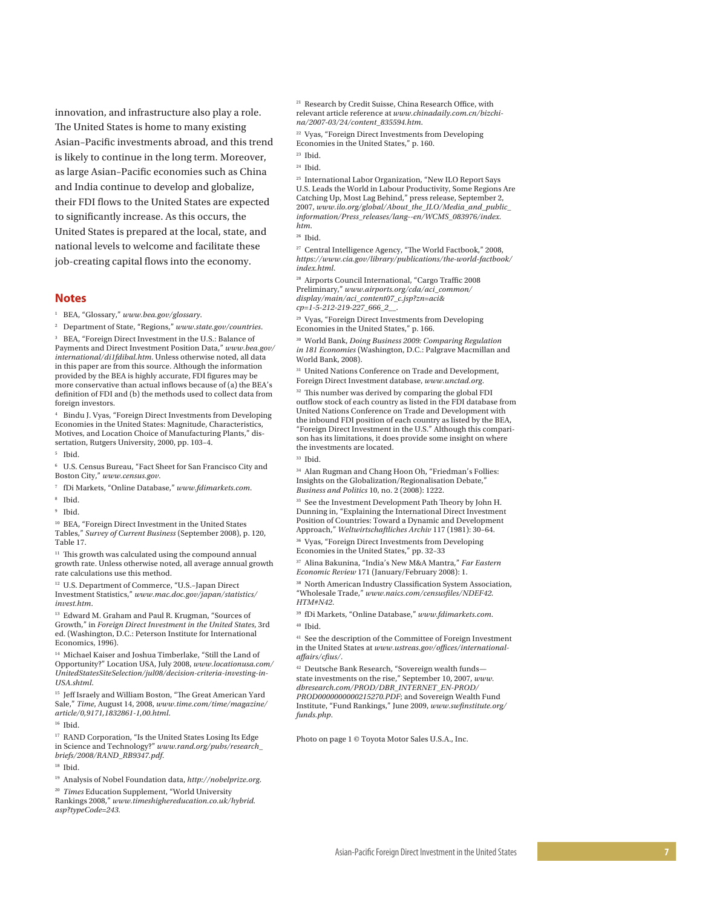innovation, and infrastructure also play a role. The United States is home to many existing Asian–Pacific investments abroad, and this trend is likely to continue in the long term. Moreover, as large Asian–Pacific economies such as China and India continue to develop and globalize, their FDI flows to the United States are expected to significantly increase. As this occurs, the United States is prepared at the local, state, and national levels to welcome and facilitate these job-creating capital flows into the economy.

#### **Notes**

1 BEA, "Glossary," *www.bea.gov/glossary* .

2 Department of State, "Regions," *www.state.gov/countries* .

3 BEA, "Foreign Direct Investment in the U.S.: Balance of Payments and Direct Investment Position Data," *www.bea.gov/ international/di1fdibal.htm*. Unless otherwise noted, all data in this paper are from this source. Although the information provided by the BEA is highly accurate, FDI figures may be more conservative than actual inflows because of (a) the BEA's definition of FDI and (b) the methods used to collect data from foreign investors.

4 Bindu J. Vyas, "Foreign Direct Investments from Developing Economies in the United States: Magnitude, Characteristics, Motives, and Location Choice of Manufacturing Plants," dis sertation, Rutgers University, 2000, pp. 103–4.

5 Ibid.

6 U.S. Census Bureau, "Fact Sheet for San Francisco City and Boston City," *www.census.gov* .

- 7 fDi Markets, "Online Database," *www.fdimarkets.com* .
- 8 Ibid.
- 9 Ibid.

10 BEA, "Foreign Direct Investment in the United States Tables," *Survey of Current Business* (September 2008), p. 120, Table 17.

 $11$  This growth was calculated using the compound annual growth rate. Unless otherwise noted, all average annual growth rate calculations use this method.

<sup>12</sup> U.S. Department of Commerce, "U.S.-Japan Direct Investment Statistics," *www.mac.doc.gov/japan/statistics/ invest.htm* .

<sup>13</sup> Edward M. Graham and Paul R. Krugman, "Sources of Growth," in *Foreign Direct Investment in the United States*, 3rd ed. (Washington, D.C.: Peterson Institute for International Economics, 1996).

14 Michael Kaiser and Joshua Timberlake, "Still the Land of Opportunity?" Location USA, July 2008, *www.locationusa.com/ UnitedStatesSiteSelection/jul08/decision-criteria-investing-in-USA.shtml*.

 $^{\rm 15}$  Jeff Israely and William Boston, "The Great American Yard Sale," *Time*, August 14, 2008, *www.time.com/time/magazine/ article/0,9171,1832861-1,00.html* .

 $^{17}$  RAND Corporation, "Is the United States Losing Its Edge in Science and Technology?" *www.rand.org/pubs/research\_*

*briefs/2008/RAND\_RB9347.pdf*.

18 Ibid.

<sup>20</sup> *Times* Education Supplement, "World University Rankings 2008," *www.timeshighereducation.co.uk/hybrid. asp?typeCode=243.*

21 Research by Credit Suisse, China Research Office, with relevant article reference at *www.chinadaily.com.cn/bizchi na/2007-03/24/content\_835594.htm* .

22 Vyas, "Foreign Direct Investments from Developing Economies in the United States," p. 160.

 $23$  Ibid.

25 International Labor Organization, "New ILO Report Says U.S. Leads the World in Labour Productivity, Some Regions Are Catching Up, Most Lag Behind," press release, September 2, 2007, *www.ilo.org/global/About\_the\_ILO/Media\_and\_public\_ information/Press\_releases/lang--en/WCMS\_083976/index. htm* .

27 Central Intelligence Agency, "The World Factbook," 2008, *https://www.cia.gov/library/publications/the-world-factbook/ index.html* .

28 Airports Council International, "Cargo Traffic 2008 Preliminary," *www.airports.org/cda/aci\_common/ display/main/aci\_content07\_c.jsp?zn=aci& cp=1-5-212-219-227\_666\_2\_\_* .

29 Vyas, "Foreign Direct Investments from Developing Economies in the United States," p. 166.

30 World Bank, *Doing Business 2009: Comparing Regulation in 181 Economies* (Washington, D.C.: Palgrave Macmillan and World Bank, 2008).

<sup>31</sup> United Nations Conference on Trade and Development, Foreign Direct Investment database, *www.unctad.org* .

<sup>32</sup> This number was derived by comparing the global FDI outflow stock of each country as listed in the FDI database from United Nations Conference on Trade and Development with the inbound FDI position of each country as listed by the BEA, "Foreign Direct Investment in the U.S." Although this compari son has its limitations, it does provide some insight on where the investments are located.

33 Ibid.

34 Alan Rugman and Chang Hoon Oh, "Friedman's Follies: Insights on the Globalization/Regionalisation Debate," *Business and Politics* 10, no. 2 (2008): 1222.

<sup>35</sup> See the Investment Development Path Theory by John H. Dunning in, "Explaining the International Direct Investment Position of Countries: Toward a Dynamic and Development Approach," *Weltwirtschaftliches Archiv* 117 (1981): 30–64.

36 Vyas, "Foreign Direct Investments from Developing Economies in the United States," pp. 32–33

37 Alina Bakunina, "India's New M&A Mantra," *Far Eastern Economic Review* 171 (January/February 2008): 1.

38 North American Industry Classification System Association, "Wholesale Trade," *www.naics.com/censusfiles/NDEF42. HTM#N42* .

39 fDi Markets, "Online Database," *www.fdimarkets.com* .

41 See the description of the Committee of Foreign Investment in the United States at *www.ustreas.gov/offices/internationalaffairs/cfius/*.

42 Deutsche Bank Research, "Sovereign wealth funds state investments on the rise," September 10, 2007, *www. dbresearch.com/PROD/DBR\_INTERNET\_EN-PROD/ PROD0000000000215270.PDF*; and Sovereign Wealth Fund Institute, "Fund Rankings," June 2009, *www.swfinstitute.org/ funds.php* .

Photo on page 1 © Toyota Motor Sales U.S.A., Inc.

<sup>16</sup> Ibid.

<sup>19</sup> Analysis of Nobel Foundation data, *http://nobelprize.org* .

<sup>24</sup> Ibid.

<sup>26</sup> Ibid.

<sup>40</sup> Ibid.